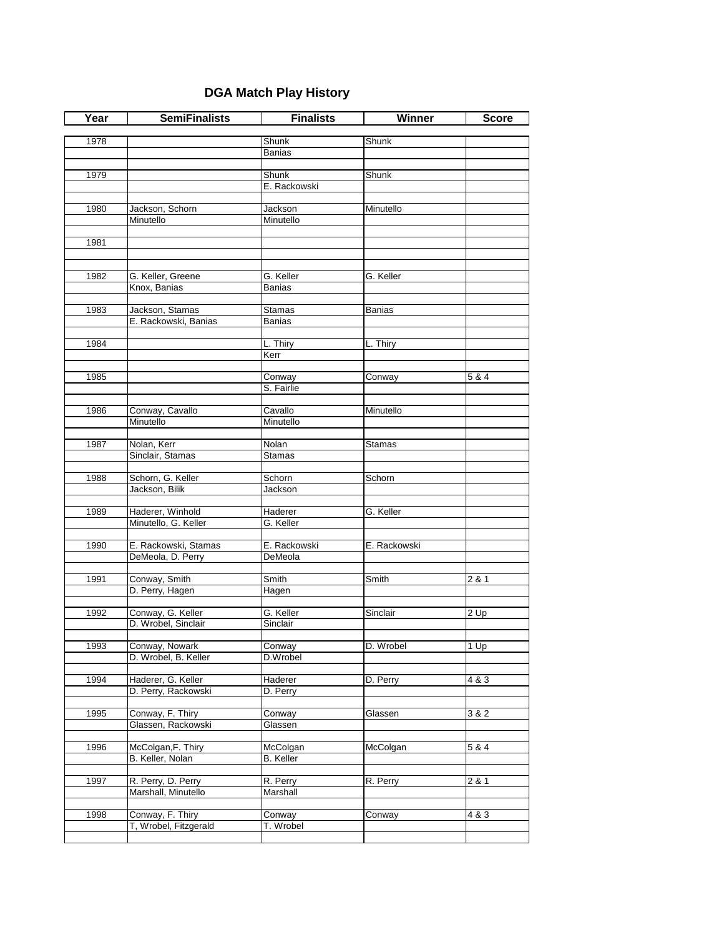## **DGA Match Play History**

| Year | <b>SemiFinalists</b>                     | <b>Finalists</b>     | Winner        | <b>Score</b> |
|------|------------------------------------------|----------------------|---------------|--------------|
|      |                                          |                      |               |              |
| 1978 |                                          | Shunk                | Shunk         |              |
|      |                                          | Banias               |               |              |
| 1979 |                                          | Shunk                | Shunk         |              |
|      |                                          | E. Rackowski         |               |              |
|      |                                          |                      |               |              |
| 1980 | Jackson, Schorn                          | Jackson              | Minutello     |              |
|      | Minutello                                | Minutello            |               |              |
|      |                                          |                      |               |              |
| 1981 |                                          |                      |               |              |
|      |                                          |                      |               |              |
|      |                                          |                      |               |              |
| 1982 | G. Keller, Greene<br>Knox, Banias        | G. Keller            | G. Keller     |              |
|      |                                          | Banias               |               |              |
| 1983 | Jackson, Stamas                          | <b>Stamas</b>        | <b>Banias</b> |              |
|      | E. Rackowski, Banias                     | Banias               |               |              |
|      |                                          |                      |               |              |
| 1984 |                                          | L. Thiry             | L. Thiry      |              |
|      |                                          | Kerr                 |               |              |
|      |                                          |                      |               |              |
| 1985 |                                          | Conway               | Conway        | 5 & 4        |
|      |                                          | S. Fairlie           |               |              |
| 1986 | Conway, Cavallo                          | Cavallo              | Minutello     |              |
|      | Minutello                                | Minutello            |               |              |
|      |                                          |                      |               |              |
| 1987 | Nolan, Kerr                              | Nolan                | Stamas        |              |
|      | Sinclair, Stamas                         | <b>Stamas</b>        |               |              |
|      |                                          |                      |               |              |
| 1988 | Schorn, G. Keller                        | Schorn               | Schorn        |              |
|      | Jackson, Bilik                           | Jackson              |               |              |
|      |                                          |                      |               |              |
| 1989 | Haderer, Winhold<br>Minutello, G. Keller | Haderer<br>G. Keller | G. Keller     |              |
|      |                                          |                      |               |              |
| 1990 | E. Rackowski, Stamas                     | E. Rackowski         | E. Rackowski  |              |
|      | DeMeola, D. Perry                        | DeMeola              |               |              |
|      |                                          |                      |               |              |
| 1991 | Conway, Smith                            | Smith                | Smith         | 2 & 1        |
|      | D. Perry, Hagen                          | Hagen                |               |              |
|      |                                          |                      |               |              |
| 1992 | Conway, G. Keller<br>D. Wrobel, Sinclair | G. Keller            | Sinclair      | 2 Up         |
|      |                                          | Sinclair             |               |              |
| 1993 | Conway, Nowark                           | Conway               | D. Wrobel     | $1$ Up       |
|      | D. Wrobel, B. Keller                     | D.Wrobel             |               |              |
|      |                                          |                      |               |              |
| 1994 | Haderer, G. Keller                       | Haderer              | D. Perry      | 483          |
|      | D. Perry, Rackowski                      | D. Perry             |               |              |
|      |                                          |                      |               |              |
| 1995 | Conway, F. Thiry                         | Conway               | Glassen       | 3 & 2        |
|      | Glassen, Rackowski                       | Glassen              |               |              |
| 1996 | McColgan, F. Thiry                       | McColgan             | McColgan      | 5 & 4        |
|      | B. Keller, Nolan                         | <b>B.</b> Keller     |               |              |
|      |                                          |                      |               |              |
| 1997 | R. Perry, D. Perry                       | R. Perry             | R. Perry      | 2 & 1        |
|      | Marshall, Minutello                      | Marshall             |               |              |
|      |                                          |                      |               |              |
| 1998 | Conway, F. Thiry                         | Conway               | Conway        | 4 & 3        |
|      | T, Wrobel, Fitzgerald                    | T. Wrobel            |               |              |
|      |                                          |                      |               |              |